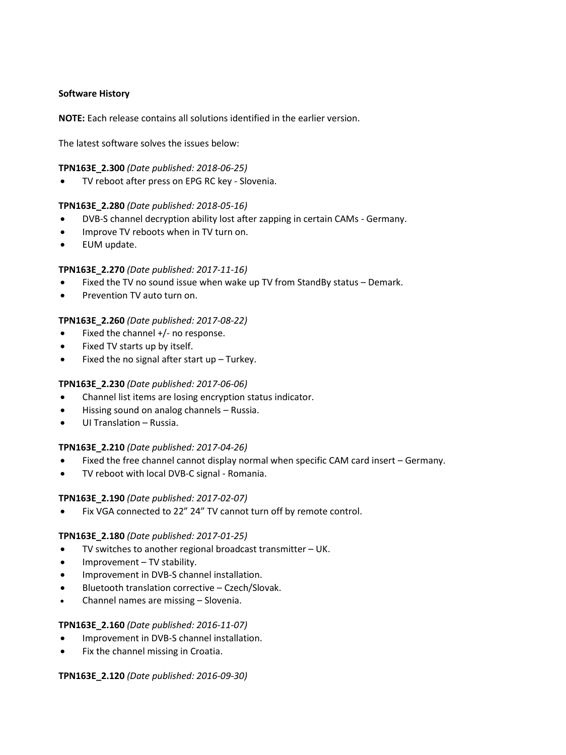## **Software History**

**NOTE:** Each release contains all solutions identified in the earlier version.

The latest software solves the issues below:

#### **TPN163E\_2.300** *(Date published: 2018-06-25)*

TV reboot after press on EPG RC key - Slovenia.

### **TPN163E\_2.280** *(Date published: 2018-05-16)*

- DVB-S channel decryption ability lost after zapping in certain CAMs Germany.
- Improve TV reboots when in TV turn on.
- EUM update.

### **TPN163E\_2.270** *(Date published: 2017-11-16)*

- Fixed the TV no sound issue when wake up TV from StandBy status Demark.
- Prevention TV auto turn on.

## **TPN163E\_2.260** *(Date published: 2017-08-22)*

- Fixed the channel +/- no response.
- Fixed TV starts up by itself.
- $\bullet$  Fixed the no signal after start up Turkey.

## **TPN163E\_2.230** *(Date published: 2017-06-06)*

- Channel list items are losing encryption status indicator.
- Hissing sound on analog channels Russia.
- UI Translation Russia.

#### **TPN163E\_2.210** *(Date published: 2017-04-26)*

- Fixed the free channel cannot display normal when specific CAM card insert Germany.
- TV reboot with local DVB-C signal Romania.

#### **TPN163E\_2.190** *(Date published: 2017-02-07)*

Fix VGA connected to 22" 24" TV cannot turn off by remote control.

#### **TPN163E\_2.180** *(Date published: 2017-01-25)*

- TV switches to another regional broadcast transmitter UK.
- Improvement TV stability.
- **•** Improvement in DVB-S channel installation.
- Bluetooth translation corrective Czech/Slovak.
- Channel names are missing Slovenia.

#### **TPN163E\_2.160** *(Date published: 2016-11-07)*

- Improvement in DVB-S channel installation.
- Fix the channel missing in Croatia.

#### **TPN163E\_2.120** *(Date published: 2016-09-30)*